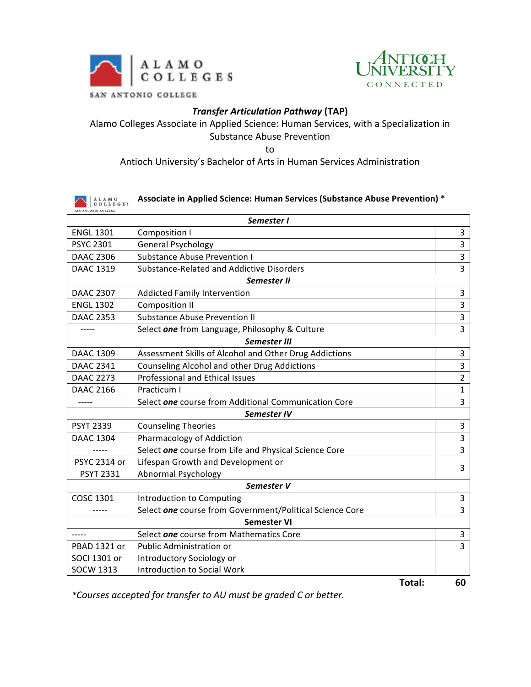



## *Transfer Articulation Pathway* **(TAP)**

### Alamo Colleges Associate in Applied Science: Human Services, with a Specialization in Substance Abuse Prevention

to

### Antioch University's Bachelor of Arts in Human Services Administration

| ALAMO<br>COLLEGES | Associate in Applied Science: Human Services (Substance Abuse Prevention) * |                |
|-------------------|-----------------------------------------------------------------------------|----------------|
|                   | Semester I                                                                  |                |
| <b>ENGL 1301</b>  | Composition I                                                               | 3              |
| <b>PSYC 2301</b>  | <b>General Psychology</b>                                                   | $\overline{3}$ |
| <b>DAAC 2306</b>  | <b>Substance Abuse Prevention I</b>                                         | 3              |
| <b>DAAC 1319</b>  | Substance-Related and Addictive Disorders                                   | 3              |
|                   | Semester II                                                                 |                |
| <b>DAAC 2307</b>  | Addicted Family Intervention                                                | 3              |
| <b>ENGL 1302</b>  | <b>Composition II</b>                                                       | $\overline{3}$ |
| <b>DAAC 2353</b>  | <b>Substance Abuse Prevention II</b>                                        | $\overline{3}$ |
| $--- -$           | Select one from Language, Philosophy & Culture                              | $\overline{3}$ |
|                   | <b>Semester III</b>                                                         |                |
| <b>DAAC 1309</b>  | Assessment Skills of Alcohol and Other Drug Addictions                      | 3              |
| <b>DAAC 2341</b>  | Counseling Alcohol and other Drug Addictions                                | 3              |
| <b>DAAC 2273</b>  | <b>Professional and Ethical Issues</b>                                      | $\overline{2}$ |
| <b>DAAC 2166</b>  | Practicum I                                                                 | $\mathbf{1}$   |
| -----             | Select one course from Additional Communication Core                        | 3              |
|                   | Semester IV                                                                 |                |
| <b>PSYT 2339</b>  | <b>Counseling Theories</b>                                                  | $\overline{3}$ |
| <b>DAAC 1304</b>  | Pharmacology of Addiction                                                   | 3              |
|                   | Select one course from Life and Physical Science Core                       | 3              |
| PSYC 2314 or      | Lifespan Growth and Development or                                          | 3              |
| <b>PSYT 2331</b>  | <b>Abnormal Psychology</b>                                                  |                |
|                   | Semester V                                                                  |                |
| <b>COSC 1301</b>  | Introduction to Computing                                                   | 3              |
|                   | Select one course from Government/Political Science Core                    | $\overline{3}$ |
|                   | <b>Semester VI</b>                                                          |                |
|                   | Select one course from Mathematics Core                                     | 3              |
| PBAD 1321 or      | Public Administration or                                                    | $\overline{3}$ |
| SOCI 1301 or      | Introductory Sociology or                                                   |                |
| <b>SOCW 1313</b>  | Introduction to Social Work                                                 |                |
|                   | Total:                                                                      | 60             |

*\*Courses accepted for transfer to AU must be graded C or better.*